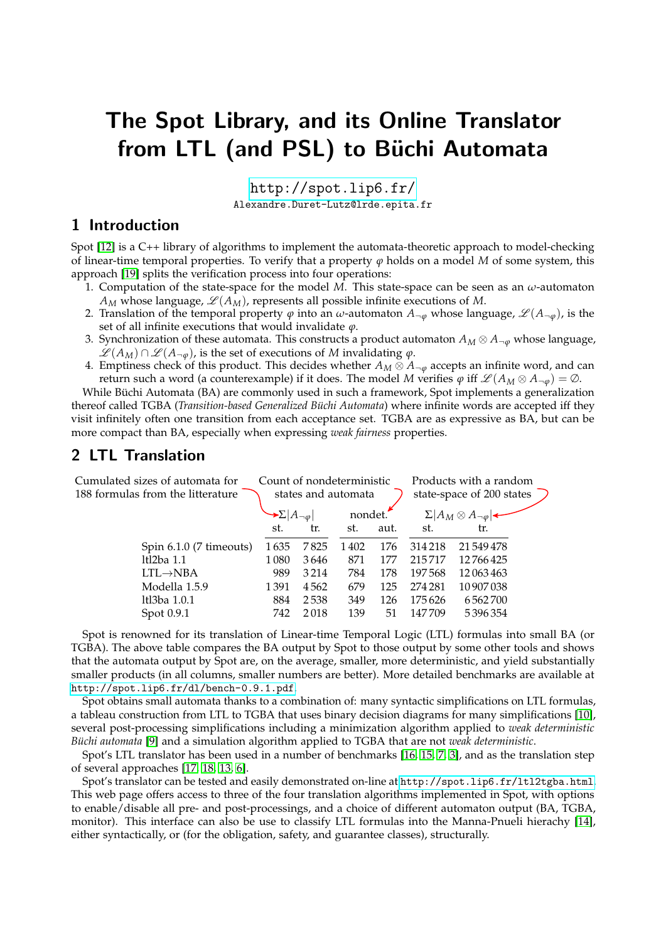# The Spot Library, and its Online Translator from LTL (and PSL) to Büchi Automata

<http://spot.lip6.fr/> Alexandre.Duret-Lutz@lrde.epita.fr

#### 1 Introduction

Spot [\[12\]](#page-1-0) is a C++ library of algorithms to implement the automata-theoretic approach to model-checking of linear-time temporal properties. To verify that a property  $\varphi$  holds on a model *M* of some system, this approach [\[19\]](#page-1-1) splits the verification process into four operations:

- 1. Computation of the state-space for the model *M*. This state-space can be seen as an *ω*-automaton  $A_M$  whose language,  $\mathcal{L}(A_M)$ , represents all possible infinite executions of M.
- 2. Translation of the temporal property  $\varphi$  into an  $\omega$ -automaton  $A_{\neg \varphi}$  whose language,  $\mathscr{L}(A_{\neg \varphi})$ , is the set of all infinite executions that would invalidate *ϕ*.
- 3. Synchronization of these automata. This constructs a product automaton  $A_M \otimes A_{\neg \varphi}$  whose language,  $\mathscr{L}(A_M) \cap \mathscr{L}(A_{\neg \varphi})$ , is the set of executions of *M* invalidating *ϕ*.
- 4. Emptiness check of this product. This decides whether  $A_M \otimes A_{\neg \varphi}$  accepts an infinite word, and can return such a word (a counterexample) if it does. The model *M* verifies  $\varphi$  iff  $\mathscr{L}(A_M \otimes A_{\neg \varphi}) = \emptyset$ .

While Büchi Automata (BA) are commonly used in such a framework, Spot implements a generalization thereof called TGBA (*Transition-based Generalized Büchi Automata*) where infinite words are accepted iff they visit infinitely often one transition from each acceptance set. TGBA are as expressive as BA, but can be more compact than BA, especially when expressing *weak fairness* properties.

## 2 LTL Translation

| Cumulated sizes of automata for   | Count of nondeterministic               |      |         |      | Products with a random                    |            |  |
|-----------------------------------|-----------------------------------------|------|---------|------|-------------------------------------------|------------|--|
| 188 formulas from the litterature | states and automata                     |      |         |      | state-space of 200 states                 |            |  |
|                                   | $\rightarrow \Sigma  A_{\neg \varphi} $ |      | nondet. |      | $\Sigma   A_M \otimes A_{\neg \varphi}  $ |            |  |
|                                   | st.                                     | tr.  | st.     | aut. | st.                                       | tr.        |  |
| Spin 6.1.0 (7 timeouts)           | 1635                                    | 7825 | 1402    | 176  | 314218                                    | 21 549 478 |  |
| $ltl2ba$ 1.1                      | 1 0 8 0                                 | 3646 | 871     | 177  | 215717                                    | 12766425   |  |
| $LTL \rightarrow NBA$             | 989                                     | 3214 | 784     | 178  | 197568                                    | 12063463   |  |
| Modella 1.5.9                     | 1391                                    | 4562 | 679     | 125  | 274 281                                   | 10 907 038 |  |
| ltl3ba 1.0.1                      | 884                                     | 2538 | 349     | 126  | 175626                                    | 6562700    |  |
| Spot 0.9.1                        | 742                                     | 2018 | 139     | 51   | 147709                                    | 5396354    |  |
|                                   |                                         |      |         |      |                                           |            |  |

Spot is renowned for its translation of Linear-time Temporal Logic (LTL) formulas into small BA (or TGBA). The above table compares the BA output by Spot to those output by some other tools and shows that the automata output by Spot are, on the average, smaller, more deterministic, and yield substantially smaller products (in all columns, smaller numbers are better). More detailed benchmarks are available at <http://spot.lip6.fr/dl/bench-0.9.1.pdf>.

Spot obtains small automata thanks to a combination of: many syntactic simplifications on LTL formulas, a tableau construction from LTL to TGBA that uses binary decision diagrams for many simplifications [\[10\]](#page-1-2), several post-processing simplifications including a minimization algorithm applied to *weak deterministic B ¨uchi automata* [\[9\]](#page-1-3) and a simulation algorithm applied to TGBA that are not *weak deterministic*.

Spot's LTL translator has been used in a number of benchmarks [\[16,](#page-1-4) [15,](#page-1-5) [7,](#page-1-6) [3\]](#page-1-7), and as the translation step of several approaches [\[17,](#page-1-8) [18,](#page-1-9) [13,](#page-1-10) [6\]](#page-1-11).

Spot's translator can be tested and easily demonstrated on-line at <http://spot.lip6.fr/ltl2tgba.html>. This web page offers access to three of the four translation algorithms implemented in Spot, with options to enable/disable all pre- and post-processings, and a choice of different automaton output (BA, TGBA, monitor). This interface can also be use to classify LTL formulas into the Manna-Pnueli hierachy [\[14\]](#page-1-12), either syntactically, or (for the obligation, safety, and guarantee classes), structurally.